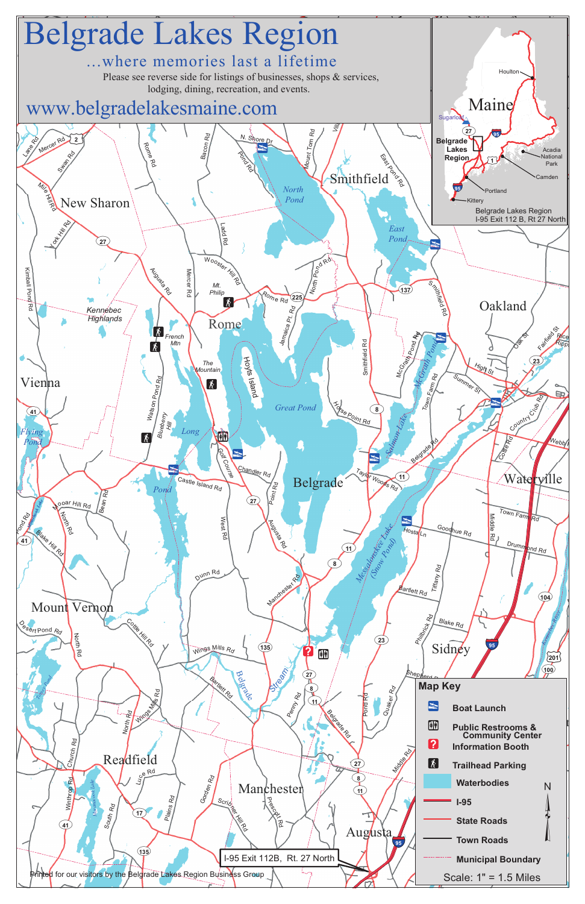